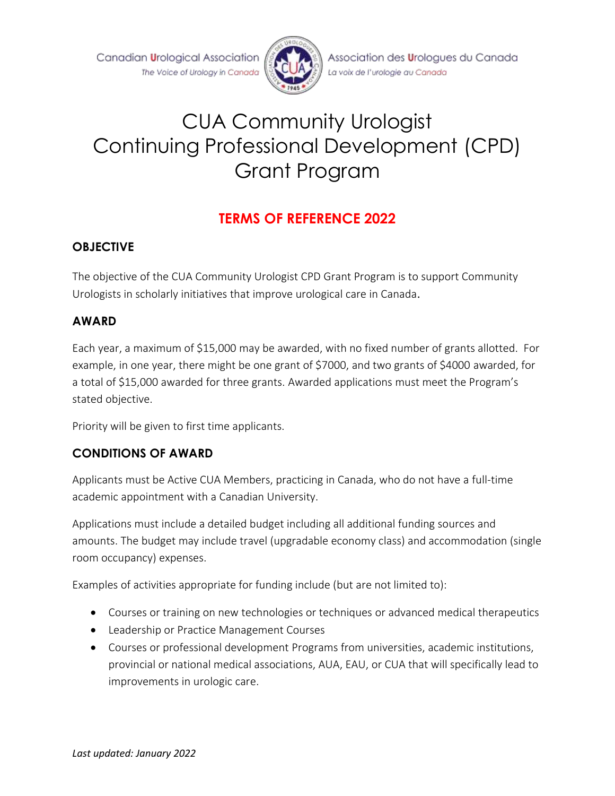Canadian Urological Association The Voice of Urology in Canada



Association des Urologues du Canada La voix de l'urologie au Canada

# CUA Community Urologist Continuing Professional Development (CPD) Grant Program

## **TERMS OF REFERENCE 2022**

#### **OBJECTIVE**

The objective of the CUA Community Urologist CPD Grant Program is to support Community Urologists in scholarly initiatives that improve urological care in Canada.

#### **AWARD**

Each year, a maximum of \$15,000 may be awarded, with no fixed number of grants allotted. For example, in one year, there might be one grant of \$7000, and two grants of \$4000 awarded, for a total of \$15,000 awarded for three grants. Awarded applications must meet the Program's stated objective.

Priority will be given to first time applicants.

#### **CONDITIONS OF AWARD**

Applicants must be Active CUA Members, practicing in Canada, who do not have a full-time academic appointment with a Canadian University.

Applications must include a detailed budget including all additional funding sources and amounts. The budget may include travel (upgradable economy class) and accommodation (single room occupancy) expenses.

Examples of activities appropriate for funding include (but are not limited to):

- Courses or training on new technologies or techniques or advanced medical therapeutics
- Leadership or Practice Management Courses
- Courses or professional development Programs from universities, academic institutions, provincial or national medical associations, AUA, EAU, or CUA that will specifically lead to improvements in urologic care.